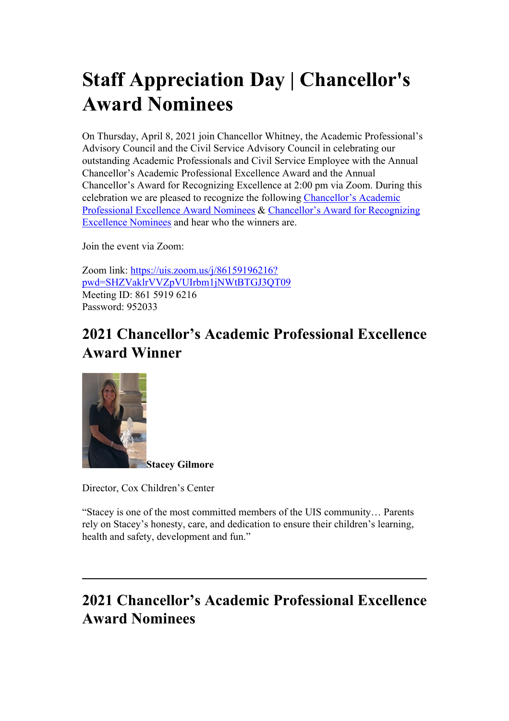# **Staff Appreciation Day | Chancellor's Award Nominees**

On Thursday, April 8, 2021 join Chancellor Whitney, the Academic Professional's Advisory Council and the Civil Service Advisory Council in celebrating our outstanding Academic Professionals and Civil Service Employee with the Annual Chancellor's Academic Professional Excellence Award and the Annual Chancellor's Award for Recognizing Excellence at 2:00 pm via Zoom. During this celebration we are pleased to recognize the following Chancellor's Academic Professional Excellence Award Nominees & Chancellor's Award for Recognizing Excellence Nominees and hear who the winners are.

Join the event via Zoom:

Zoom link: [https://uis.zoom.us/j/86159196216?](https://uis.zoom.us/j/86159196216?pwd=SHZVaklrVVZpVUIrbm1jNWtBTGJ3QT09) [pwd=SHZVaklrVVZpVUIrbm1jNWtBTGJ3QT09](https://uis.zoom.us/j/86159196216?pwd=SHZVaklrVVZpVUIrbm1jNWtBTGJ3QT09) Meeting ID: 861 5919 6216 Password: 952033

### **2021 Chancellor's Academic Professional Excellence Award Winner**



Director, Cox Children's Center

"Stacey is one of the most committed members of the UIS community… Parents rely on Stacey's honesty, care, and dedication to ensure their children's learning, health and safety, development and fun."

## **2021 Chancellor's Academic Professional Excellence Award Nominees**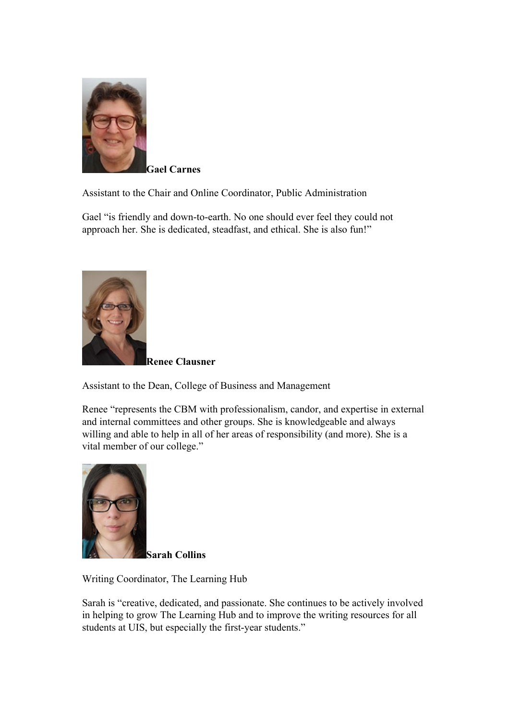

**Gael Carnes**

Assistant to the Chair and Online Coordinator, Public Administration

Gael "is friendly and down-to-earth. No one should ever feel they could not approach her. She is dedicated, steadfast, and ethical. She is also fun!"



**Renee Clausner**

Assistant to the Dean, College of Business and Management

Renee "represents the CBM with professionalism, candor, and expertise in external and internal committees and other groups. She is knowledgeable and always willing and able to help in all of her areas of responsibility (and more). She is a vital member of our college."



**Sarah Collins**

Writing Coordinator, The Learning Hub

Sarah is "creative, dedicated, and passionate. She continues to be actively involved in helping to grow The Learning Hub and to improve the writing resources for all students at UIS, but especially the first-year students."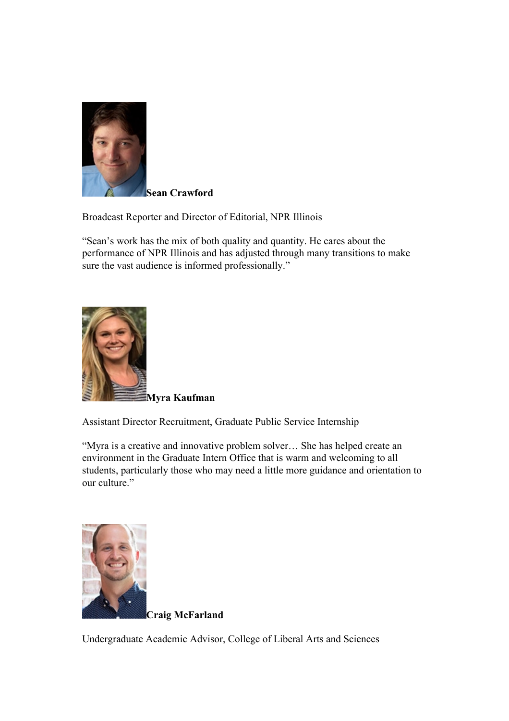

**Sean Crawford**

Broadcast Reporter and Director of Editorial, NPR Illinois

"Sean's work has the mix of both quality and quantity. He cares about the performance of NPR Illinois and has adjusted through many transitions to make sure the vast audience is informed professionally."



Assistant Director Recruitment, Graduate Public Service Internship

"Myra is a creative and innovative problem solver… She has helped create an environment in the Graduate Intern Office that is warm and welcoming to all students, particularly those who may need a little more guidance and orientation to our culture."



**Craig McFarland**

Undergraduate Academic Advisor, College of Liberal Arts and Sciences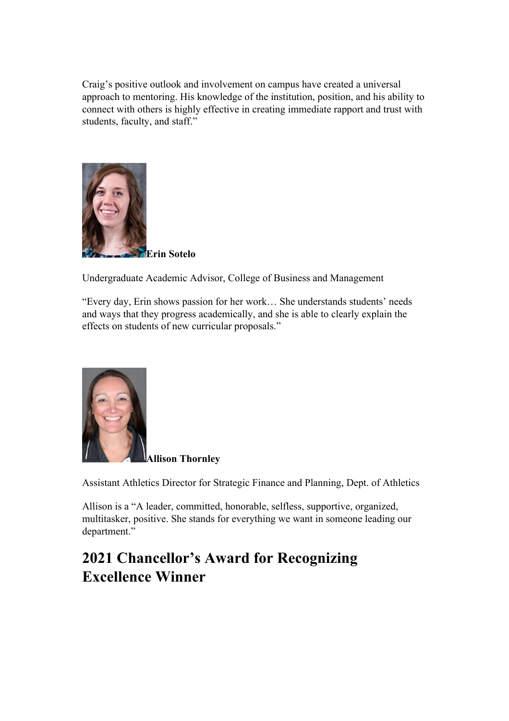Craig's positive outlook and involvement on campus have created a universal approach to mentoring. His knowledge of the institution, position, and his ability to connect with others is highly effective in creating immediate rapport and trust with students, faculty, and staff."



**Erin Sotelo**

Undergraduate Academic Advisor, College of Business and Management

"Every day, Erin shows passion for her work… She understands students' needs and ways that they progress academically, and she is able to clearly explain the effects on students of new curricular proposals."



**Allison Thornley**

Assistant Athletics Director for Strategic Finance and Planning, Dept. of Athletics

Allison is a "A leader, committed, honorable, selfless, supportive, organized, multitasker, positive. She stands for everything we want in someone leading our department."

#### **2021 Chancellor's Award for Recognizing Excellence Winner**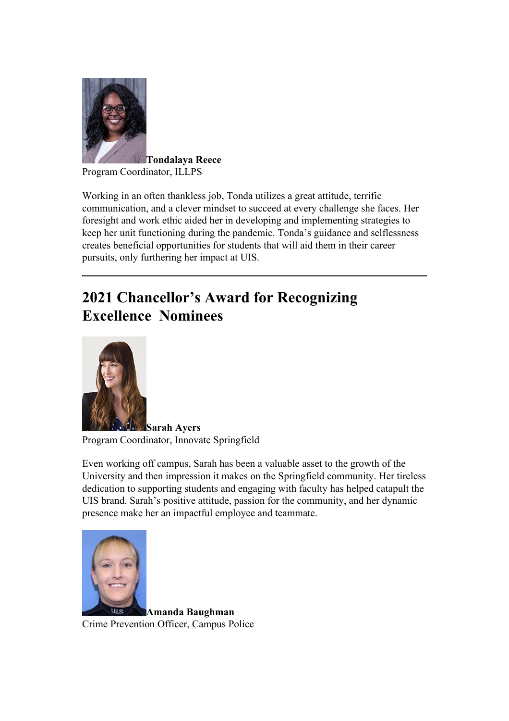

**Tondalaya Reece** Program Coordinator, ILLPS

Working in an often thankless job, Tonda utilizes a great attitude, terrific communication, and a clever mindset to succeed at every challenge she faces. Her foresight and work ethic aided her in developing and implementing strategies to keep her unit functioning during the pandemic. Tonda's guidance and selflessness creates beneficial opportunities for students that will aid them in their career pursuits, only furthering her impact at UIS.

## **2021 Chancellor's Award for Recognizing Excellence Nominees**



**Sarah Ayers** Program Coordinator, Innovate Springfield

Even working off campus, Sarah has been a valuable asset to the growth of the University and then impression it makes on the Springfield community. Her tireless dedication to supporting students and engaging with faculty has helped catapult the UIS brand. Sarah's positive attitude, passion for the community, and her dynamic presence make her an impactful employee and teammate.



**Amanda Baughman** Crime Prevention Officer, Campus Police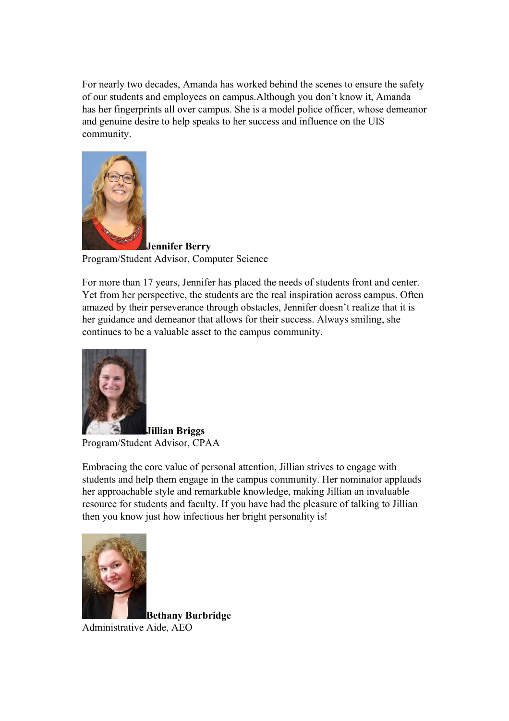For nearly two decades, Amanda has worked behind the scenes to ensure the safety of our students and employees on campus.Although you don't know it, Amanda has her fingerprints all over campus. She is a model police officer, whose demeanor and genuine desire to help speaks to her success and influence on the UIS community.



**Jennifer Berry** Program/Student Advisor, Computer Science

For more than 17 years, Jennifer has placed the needs of students front and center. Yet from her perspective, the students are the real inspiration across campus. Often amazed by their perseverance through obstacles, Jennifer doesn't realize that it is her guidance and demeanor that allows for their success. Always smiling, she continues to be a valuable asset to the campus community.



**Jillian Briggs** Program/Student Advisor, CPAA

Embracing the core value of personal attention, Jillian strives to engage with students and help them engage in the campus community. Her nominator applauds her approachable style and remarkable knowledge, making Jillian an invaluable resource for students and faculty. If you have had the pleasure of talking to Jillian then you know just how infectious her bright personality is!



**Bethany Burbridge** Administrative Aide, AEO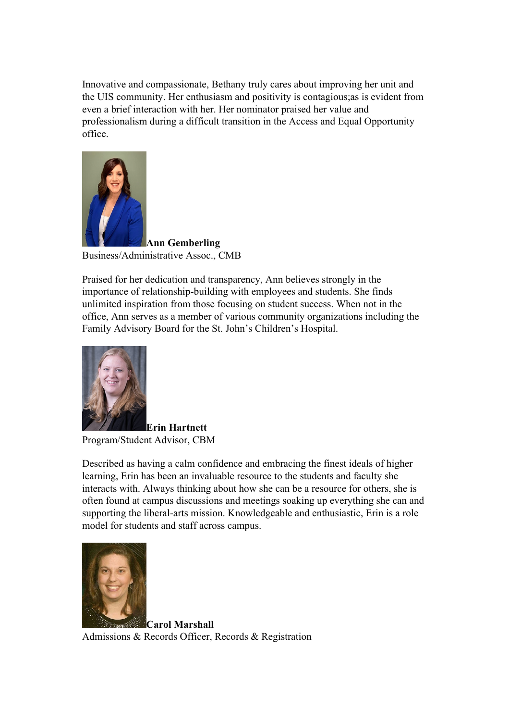Innovative and compassionate, Bethany truly cares about improving her unit and the UIS community. Her enthusiasm and positivity is contagious;as is evident from even a brief interaction with her. Her nominator praised her value and professionalism during a difficult transition in the Access and Equal Opportunity office.



**Ann Gemberling** Business/Administrative Assoc., CMB

Praised for her dedication and transparency, Ann believes strongly in the importance of relationship-building with employees and students. She finds unlimited inspiration from those focusing on student success. When not in the office, Ann serves as a member of various community organizations including the Family Advisory Board for the St. John's Children's Hospital.



**Erin Hartnett** Program/Student Advisor, CBM

Described as having a calm confidence and embracing the finest ideals of higher learning, Erin has been an invaluable resource to the students and faculty she interacts with. Always thinking about how she can be a resource for others, she is often found at campus discussions and meetings soaking up everything she can and supporting the liberal-arts mission. Knowledgeable and enthusiastic, Erin is a role model for students and staff across campus.



**Carol Marshall** Admissions & Records Officer, Records & Registration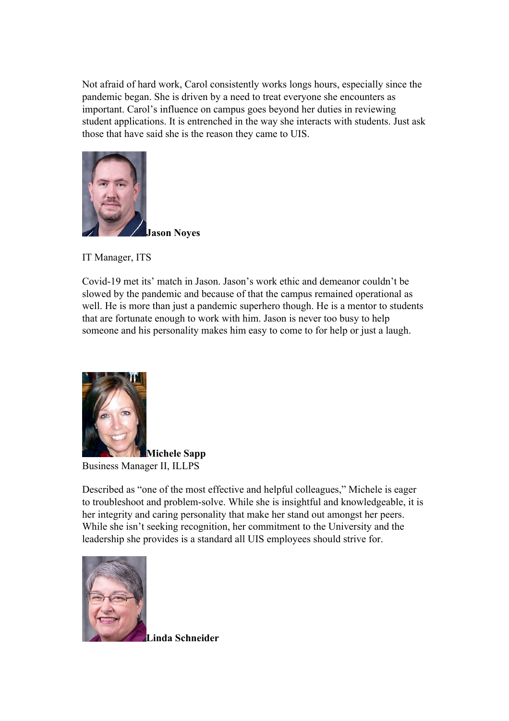Not afraid of hard work, Carol consistently works longs hours, especially since the pandemic began. She is driven by a need to treat everyone she encounters as important. Carol's influence on campus goes beyond her duties in reviewing student applications. It is entrenched in the way she interacts with students. Just ask those that have said she is the reason they came to UIS.



IT Manager, ITS

Covid-19 met its' match in Jason. Jason's work ethic and demeanor couldn't be slowed by the pandemic and because of that the campus remained operational as well. He is more than just a pandemic superhero though. He is a mentor to students that are fortunate enough to work with him. Jason is never too busy to help someone and his personality makes him easy to come to for help or just a laugh.



**Michele Sapp** Business Manager II, ILLPS

Described as "one of the most effective and helpful colleagues," Michele is eager to troubleshoot and problem-solve. While she is insightful and knowledgeable, it is her integrity and caring personality that make her stand out amongst her peers. While she isn't seeking recognition, her commitment to the University and the leadership she provides is a standard all UIS employees should strive for.



**Linda Schneider**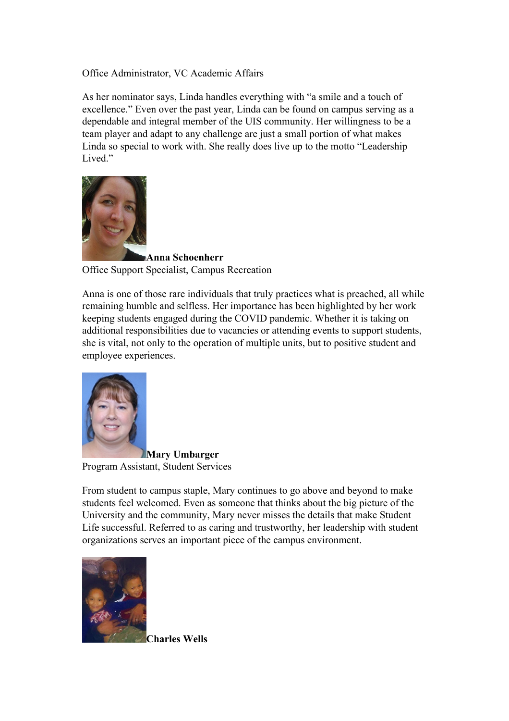Office Administrator, VC Academic Affairs

As her nominator says, Linda handles everything with "a smile and a touch of excellence." Even over the past year, Linda can be found on campus serving as a dependable and integral member of the UIS community. Her willingness to be a team player and adapt to any challenge are just a small portion of what makes Linda so special to work with. She really does live up to the motto "Leadership Lived."



**Anna Schoenherr** Office Support Specialist, Campus Recreation

Anna is one of those rare individuals that truly practices what is preached, all while remaining humble and selfless. Her importance has been highlighted by her work keeping students engaged during the COVID pandemic. Whether it is taking on additional responsibilities due to vacancies or attending events to support students, she is vital, not only to the operation of multiple units, but to positive student and employee experiences.



**Mary Umbarger** Program Assistant, Student Services

From student to campus staple, Mary continues to go above and beyond to make students feel welcomed. Even as someone that thinks about the big picture of the University and the community, Mary never misses the details that make Student Life successful. Referred to as caring and trustworthy, her leadership with student organizations serves an important piece of the campus environment.



**Charles Wells**